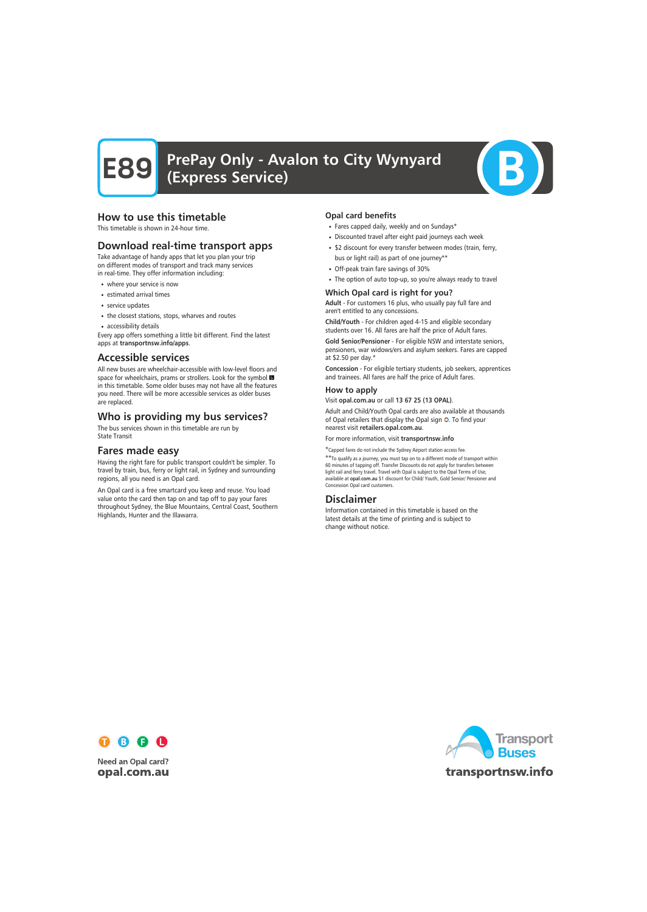

# How to use this timetable

This timetable is shown in 24-hour time.

# Download real-time transport apps

Take advantage of handy apps that let you plan your trip on different modes of transport and track many services in real-time. They offer information including:

- where your service is now
- estimated arrival times
- service updates
- the closest stations, stops, wharves and routes
- accessibility details

Every app offers something a little bit different. Find the latest apps at transportnsw.info/apps.

# Accessible services

All new buses are wheelchair-accessible with low-level floors and space for wheelchairs, prams or strollers. Look for the symbol in this timetable. Some older buses may not have all the features you need. There will be more accessible services as older buses are replaced.

# Who is providing my bus services?

The bus services shown in this timetable are run by State Transit

# Fares made easy

Having the right fare for public transport couldn't be simpler. To travel by train, bus, ferry or light rail, in Sydney and surrounding regions, all you need is an Opal card.

An Opal card is a free smartcard you keep and reuse. You load value onto the card then tap on and tap off to pay your fares throughout Sydney, the Blue Mountains, Central Coast, Southern Highlands, Hunter and the Illawarra.

#### Opal card benefits

- Fares capped daily, weekly and on Sundays\*
- Discounted travel after eight paid journeys each week
- \$2 discount for every transfer between modes (train, ferry, bus or light rail) as part of one journey\*\*
- Off-peak train fare savings of 30%
- The option of auto top-up, so you're always ready to travel

### Which Opal card is right for you?

Adult - For customers 16 plus, who usually pay full fare and aren't entitled to any concessions.

Child/Youth - For children aged 4-15 and eligible secondary students over 16. All fares are half the price of Adult fares.

Gold Senior/Pensioner - For eligible NSW and interstate seniors, pensioners, war widows/ers and asylum seekers. Fares are capped at \$2.50 per day.\*

Concession - For eligible tertiary students, job seekers, apprentices and trainees. All fares are half the price of Adult fares.

#### How to apply

Visit opal.com.au or call 13 67 25 (13 OPAL).

Adult and Child/Youth Opal cards are also available at thousands of Opal retailers that display the Opal sign  $\bullet$ . To find your nearest visit retailers.opal.com.au.

For more information, visit transportnsw.info

\*Capped fares do not include the Sydney Airport station access fee.

\*\*To qualify as a journey, you must tap on to a different mode of transport within 60 minutes of tapping off. Transfer Discounts do not apply for transfers between light rail and ferry travel. Travel with Opal is subject to the Opal Terms of Use, available at opal.com.au \$1 discount for Child/ Youth, Gold Senior/ Pensioner and Concession Opal card customers.

# Disclaimer

Information contained in this timetable is based on the latest details at the time of printing and is subject to change without notice.



**Need an Opal card?** opal.com.au

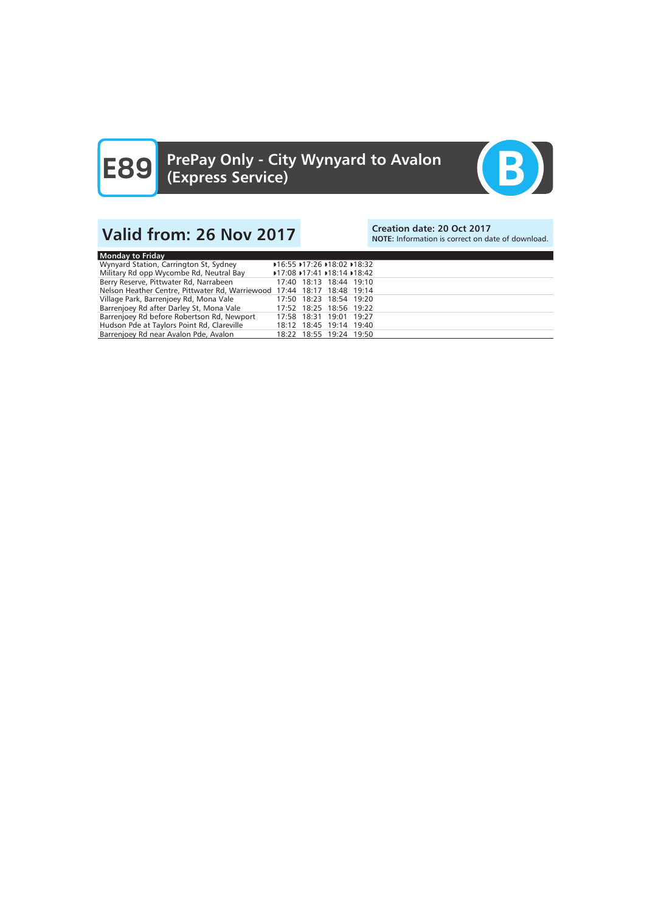

# Valid from: 26 Nov 2017<br>Note: Information is correct on date: 20 Oct 2017

NOTE: Information is correct on date of download.

| Monday to Friday                                                        |                         |  |  |
|-------------------------------------------------------------------------|-------------------------|--|--|
| Wynyard Station, Carrington St, Sydney                                  | 16:55 17:26 18:02 18:32 |  |  |
| Military Rd opp Wycombe Rd, Neutral Bay                                 | 17:08 17:41 18:14 18:42 |  |  |
| Berry Reserve, Pittwater Rd, Narrabeen                                  | 17:40 18:13 18:44 19:10 |  |  |
| Nelson Heather Centre, Pittwater Rd, Warriewood 17:44 18:17 18:48 19:14 |                         |  |  |
| Village Park, Barrenjoey Rd, Mona Vale                                  | 17:50 18:23 18:54 19:20 |  |  |
| Barrenjoey Rd after Darley St, Mona Vale                                | 17:52 18:25 18:56 19:22 |  |  |
| Barrenjoey Rd before Robertson Rd, Newport                              | 17:58 18:31 19:01 19:27 |  |  |
| Hudson Pde at Taylors Point Rd, Clareville                              | 18:12 18:45 19:14 19:40 |  |  |
| Barrenjoey Rd near Avalon Pde, Avalon                                   | 18:22 18:55 19:24 19:50 |  |  |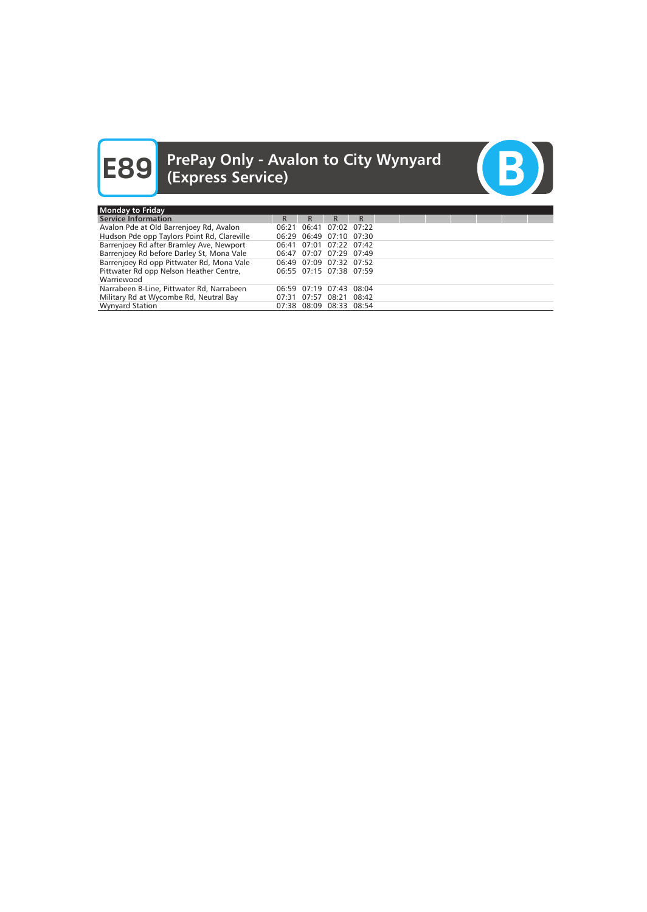

| <b>Monday to Friday</b>                     |    |                         |    |   |  |  |  |  |
|---------------------------------------------|----|-------------------------|----|---|--|--|--|--|
| <b>Service Information</b>                  | R. | R.                      | R. | R |  |  |  |  |
| Avalon Pde at Old Barrenjoey Rd, Avalon     |    | 06:21 06:41 07:02 07:22 |    |   |  |  |  |  |
| Hudson Pde opp Taylors Point Rd, Clareville |    | 06:29 06:49 07:10 07:30 |    |   |  |  |  |  |
| Barrenjoey Rd after Bramley Ave, Newport    |    | 06:41 07:01 07:22 07:42 |    |   |  |  |  |  |
| Barrenjoey Rd before Darley St, Mona Vale   |    | 06:47 07:07 07:29 07:49 |    |   |  |  |  |  |
| Barrenjoey Rd opp Pittwater Rd, Mona Vale   |    | 06:49 07:09 07:32 07:52 |    |   |  |  |  |  |
| Pittwater Rd opp Nelson Heather Centre,     |    | 06:55 07:15 07:38 07:59 |    |   |  |  |  |  |
| Warriewood                                  |    |                         |    |   |  |  |  |  |
| Narrabeen B-Line, Pittwater Rd, Narrabeen   |    | 06:59 07:19 07:43 08:04 |    |   |  |  |  |  |
| Military Rd at Wycombe Rd, Neutral Bay      |    | 07:31 07:57 08:21 08:42 |    |   |  |  |  |  |
| <b>Wynyard Station</b>                      |    | 07:38 08:09 08:33 08:54 |    |   |  |  |  |  |